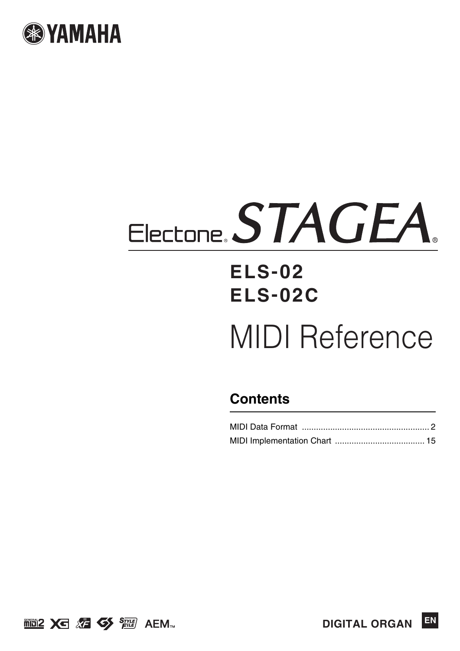

# Electone, STAGEA

# **ELS-02 ELS-02C**

# MIDI Reference

## **Contents**



**EN DIGITAL ORGAN**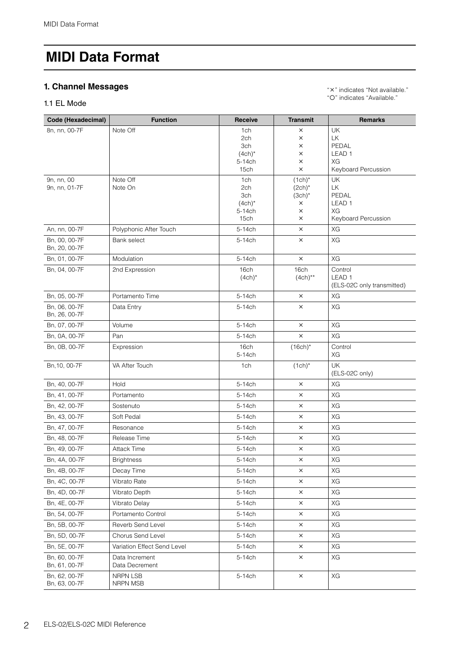#### <span id="page-1-0"></span>**1. Channel Messages**

#### 1.1 EL Mode

" x " indicates "Not available." "O" indicates "Available."

| Code (Hexadecimal)             | <b>Function</b>                  | <b>Receive</b>             | <b>Transmit</b>       | <b>Remarks</b>             |
|--------------------------------|----------------------------------|----------------------------|-----------------------|----------------------------|
| 8n, nn, 00-7F                  | Note Off                         | 1ch                        | X                     | UK                         |
|                                |                                  | 2ch                        | $\times$              | LK                         |
|                                |                                  | 3ch<br>$(4ch)^*$           | X<br>X                | PEDAL<br>LEAD <sub>1</sub> |
|                                |                                  | 5-14ch                     | $\times$              | ХG                         |
|                                |                                  | 15ch                       | $\times$              | Keyboard Percussion        |
| 9n, nn, 00                     | Note Off                         | 1ch                        | $(1ch)^*$             | <b>UK</b>                  |
| 9n, nn, 01-7F                  | Note On                          | 2ch                        | $(2ch)^*$             | <b>LK</b>                  |
|                                |                                  | 3ch<br>$(4ch)^*$           | $(3ch)^*$<br>$\times$ | PEDAL<br>LEAD <sub>1</sub> |
|                                |                                  | 5-14ch                     | $\times$              | XG                         |
|                                |                                  | 15 <sub>ch</sub>           | $\times$              | Keyboard Percussion        |
| An, nn, 00-7F                  | Polyphonic After Touch           | 5-14ch                     | $\times$              | XG                         |
| Bn, 00, 00-7F                  | <b>Bank select</b>               | 5-14ch                     | $\times$              | XG                         |
| Bn, 20, 00-7F                  |                                  | 5-14ch                     | $\times$              | XG                         |
| Bn, 01, 00-7F                  | Modulation                       | 16 <sub>ch</sub>           | 16ch                  | Control                    |
| Bn, 04, 00-7F                  | 2nd Expression                   | $(4ch)^*$                  | $(4ch)**$             | LEAD <sub>1</sub>          |
|                                |                                  |                            |                       | (ELS-02C only transmitted) |
| Bn, 05, 00-7F                  | Portamento Time                  | 5-14ch                     | $\times$              | XG                         |
| Bn, 06, 00-7F                  | Data Entry                       | 5-14ch                     | $\times$              | XG                         |
| Bn, 26, 00-7F                  |                                  |                            |                       |                            |
| Bn, 07, 00-7F                  | Volume                           | 5-14ch                     | $\times$              | XG                         |
| Bn, 0A, 00-7F                  | Pan                              | 5-14ch                     | $\times$              | XG                         |
| Bn, 0B, 00-7F                  | Expression                       | 16 <sub>ch</sub><br>5-14ch | $(16ch)^*$            | Control<br>ХG              |
| Bn, 10, 00-7F                  | VA After Touch                   | 1ch                        | $(1ch)^*$             | <b>UK</b>                  |
|                                |                                  |                            |                       | (ELS-02C only)             |
| Bn, 40, 00-7F                  | Hold                             | 5-14ch                     | $\times$              | XG                         |
| Bn, 41, 00-7F                  | Portamento                       | 5-14ch                     | X                     | XG                         |
| Bn, 42, 00-7F                  | Sostenuto                        | 5-14ch                     | $\times$              | XG                         |
| Bn, 43, 00-7F                  | Soft Pedal                       | $5-14$ ch                  | $\times$              | XG                         |
| Bn, 47, 00-7F                  | Resonance                        | 5-14ch                     | X                     | XG                         |
| Bn, 48, 00-7F                  | Release Time                     | 5-14ch                     | $\times$              | XG                         |
| Bn, 49, 00-7F                  | <b>Attack Time</b>               | 5-14ch                     | $\times$              | XG                         |
| Bn, 4A, 00-7F                  | <b>Brightness</b>                | 5-14ch                     | ×                     | XG                         |
| Bn, 4B, 00-7F                  | Decay Time                       | 5-14ch                     | $\times$              | XG                         |
| Bn, 4C, 00-7F                  | Vibrato Rate                     | 5-14ch                     | $\times$              | XG                         |
| Bn, 4D, 00-7F                  | Vibrato Depth                    | 5-14ch                     | ×                     | XG                         |
| Bn, 4E, 00-7F                  | Vibrato Delay                    | 5-14ch                     | ×                     | XG                         |
| Bn, 54, 00-7F                  | Portamento Control               | 5-14ch                     | $\times$              | XG                         |
| Bn, 5B, 00-7F                  | Reverb Send Level                | 5-14ch                     | ×                     | XG                         |
| Bn, 5D, 00-7F                  | Chorus Send Level                | 5-14ch                     | ×                     | XG                         |
| Bn, 5E, 00-7F                  | Variation Effect Send Level      | 5-14ch                     | $\times$              | XG                         |
| Bn, 60, 00-7F<br>Bn, 61, 00-7F | Data Increment<br>Data Decrement | 5-14ch                     | $\times$              | ХG                         |
| Bn, 62, 00-7F                  | NRPN LSB                         | 5-14ch                     | $\times$              | XG                         |
| Bn, 63, 00-7F                  | NRPN MSB                         |                            |                       |                            |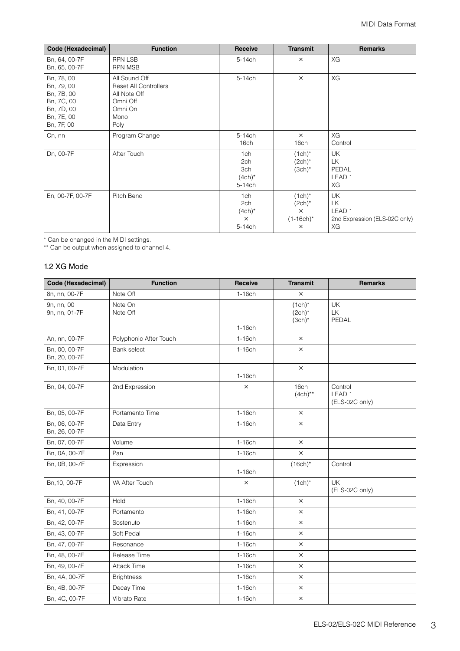| Code (Hexadecimal)                                                                             | <b>Function</b>                                                                                      | Receive                                       | <b>Transmit</b>                                                  | <b>Remarks</b>                                                       |
|------------------------------------------------------------------------------------------------|------------------------------------------------------------------------------------------------------|-----------------------------------------------|------------------------------------------------------------------|----------------------------------------------------------------------|
| Bn, 64, 00-7F<br>Bn, 65, 00-7F                                                                 | <b>RPN LSB</b><br><b>RPN MSB</b>                                                                     | 5-14ch                                        | $\times$                                                         | XG                                                                   |
| Bn, 78, 00<br>Bn, 79, 00<br>Bn, 7B, 00<br>Bn, 7C, 00<br>Bn, 7D, 00<br>Bn, 7E, 00<br>Bn, 7F, 00 | All Sound Off<br><b>Reset All Controllers</b><br>All Note Off<br>Omni Off<br>Omni On<br>Mono<br>Poly | 5-14ch                                        | $\times$                                                         | XG                                                                   |
| Cn, nn                                                                                         | Program Change                                                                                       | 5-14ch<br>16 <sub>ch</sub>                    | $\times$<br>16ch                                                 | XG<br>Control                                                        |
| Dn, 00-7F                                                                                      | After Touch                                                                                          | 1ch<br>2ch<br>3ch<br>$(4ch)^*$<br>5-14ch      | $(1ch)^*$<br>$(2ch)^*$<br>$(3ch)^*$                              | <b>UK</b><br>LК<br>PEDAL<br>LEAD <sub>1</sub><br>ХG                  |
| En, 00-7F, 00-7F                                                                               | Pitch Bend                                                                                           | 1ch<br>2ch<br>$(4ch)^*$<br>$\times$<br>5-14ch | $(1ch)^*$<br>$(2ch)^*$<br>$\times$<br>$(1-16ch)^{*}$<br>$\times$ | UK<br>LК<br>LEAD <sub>1</sub><br>2nd Expression (ELS-02C only)<br>XG |

\* Can be changed in the MIDI settings.

\*\* Can be output when assigned to channel 4.

#### 1.2 XG Mode

| Code (Hexadecimal)             | <b>Function</b>        | <b>Receive</b> | <b>Transmit</b>                     | <b>Remarks</b>                                 |
|--------------------------------|------------------------|----------------|-------------------------------------|------------------------------------------------|
| 8n, nn, 00-7F                  | Note Off               | $1-16$ ch      | $\times$                            |                                                |
| 9n, nn, 00<br>9n, nn, 01-7F    | Note On<br>Note Off    |                | $(1ch)^*$<br>$(2ch)^*$<br>$(3ch)^*$ | UK<br><b>LK</b><br>PEDAL                       |
|                                |                        | $1-16$ ch      |                                     |                                                |
| An, nn, 00-7F                  | Polyphonic After Touch | $1-16$ ch      | $\times$                            |                                                |
| Bn, 00, 00-7F<br>Bn, 20, 00-7F | Bank select            | $1-16$ ch      | $\times$                            |                                                |
| Bn, 01, 00-7F                  | Modulation             | $1-16$ ch      | $\times$                            |                                                |
| Bn, 04, 00-7F                  | 2nd Expression         | $\times$       | 16 <sub>ch</sub><br>$(4ch)**$       | Control<br>LEAD <sub>1</sub><br>(ELS-02C only) |
| Bn, 05, 00-7F                  | Portamento Time        | $1-16$ ch      | $\times$                            |                                                |
| Bn, 06, 00-7F<br>Bn, 26, 00-7F | Data Entry             | $1-16$ ch      | $\times$                            |                                                |
| Bn, 07, 00-7F                  | Volume                 | $1-16$ ch      | $\times$                            |                                                |
| Bn, 0A, 00-7F                  | Pan                    | $1-16$ ch      | $\times$                            |                                                |
| Bn, 0B, 00-7F                  | Expression             | $1-16$ ch      | $(16ch)^*$                          | Control                                        |
| Bn, 10, 00-7F                  | VA After Touch         | $\times$       | $(1ch)^*$                           | UK<br>(ELS-02C only)                           |
| Bn, 40, 00-7F                  | Hold                   | $1-16$ ch      | $\times$                            |                                                |
| Bn, 41, 00-7F                  | Portamento             | $1-16$ ch      | $\times$                            |                                                |
| Bn, 42, 00-7F                  | Sostenuto              | $1-16$ ch      | $\times$                            |                                                |
| Bn, 43, 00-7F                  | Soft Pedal             | $1-16$ ch      | $\times$                            |                                                |
| Bn, 47, 00-7F                  | Resonance              | $1-16$ ch      | $\times$                            |                                                |
| Bn, 48, 00-7F                  | Release Time           | $1-16$ ch      | X                                   |                                                |
| Bn, 49, 00-7F                  | <b>Attack Time</b>     | $1-16$ ch      | $\times$                            |                                                |
| Bn, 4A, 00-7F                  | <b>Brightness</b>      | $1-16$ ch      | $\times$                            |                                                |
| Bn, 4B, 00-7F                  | Decay Time             | $1-16$ ch      | $\times$                            |                                                |
| Bn, 4C, 00-7F                  | Vibrato Rate           | $1-16$ ch      | $\times$                            |                                                |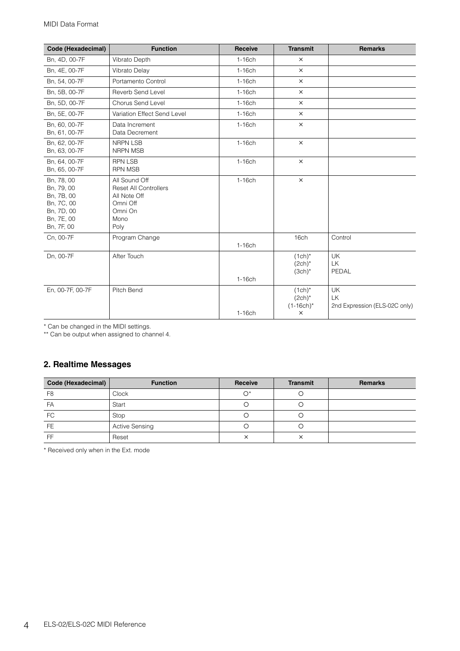| Code (Hexadecimal)                                                                             | <b>Function</b>                                                                                      | Receive   | <b>Transmit</b>                                    | <b>Remarks</b>                            |
|------------------------------------------------------------------------------------------------|------------------------------------------------------------------------------------------------------|-----------|----------------------------------------------------|-------------------------------------------|
| Bn, 4D, 00-7F                                                                                  | Vibrato Depth                                                                                        | $1-16$ ch | $\times$                                           |                                           |
| Bn, 4E, 00-7F                                                                                  | Vibrato Delay                                                                                        | $1-16$ ch | $\times$                                           |                                           |
| Bn, 54, 00-7F                                                                                  | Portamento Control                                                                                   | $1-16$ ch | $\times$                                           |                                           |
| Bn, 5B, 00-7F                                                                                  | Reverb Send Level                                                                                    | $1-16$ ch | $\times$                                           |                                           |
| Bn, 5D, 00-7F                                                                                  | Chorus Send Level                                                                                    | $1-16$ ch | $\times$                                           |                                           |
| Bn, 5E, 00-7F                                                                                  | Variation Effect Send Level                                                                          | $1-16$ ch | $\times$                                           |                                           |
| Bn, 60, 00-7F<br>Bn, 61, 00-7F                                                                 | Data Increment<br>Data Decrement                                                                     | $1-16$ ch | $\times$                                           |                                           |
| Bn, 62, 00-7F<br>Bn, 63, 00-7F                                                                 | <b>NRPN LSB</b><br><b>NRPN MSB</b>                                                                   | $1-16$ ch | $\times$                                           |                                           |
| Bn, 64, 00-7F<br>Bn, 65, 00-7F                                                                 | <b>RPN LSB</b><br><b>RPN MSB</b>                                                                     | $1-16$ ch | $\times$                                           |                                           |
| Bn, 78, 00<br>Bn, 79, 00<br>Bn, 7B, 00<br>Bn, 7C, 00<br>Bn, 7D, 00<br>Bn, 7E, 00<br>Bn, 7F, 00 | All Sound Off<br><b>Reset All Controllers</b><br>All Note Off<br>Omni Off<br>Omni On<br>Mono<br>Poly | $1-16$ ch | $\times$                                           |                                           |
| Cn, 00-7F                                                                                      | Program Change                                                                                       | $1-16$ ch | 16ch                                               | Control                                   |
| Dn, 00-7F                                                                                      | After Touch                                                                                          | $1-16$ ch | $(1ch)^*$<br>$(2ch)^*$<br>$(3ch)^*$                | UK<br>LK<br>PEDAL                         |
| En, 00-7F, 00-7F                                                                               | Pitch Bend                                                                                           | $1-16$ ch | $(1ch)^*$<br>$(2ch)^*$<br>$(1-16ch)^*$<br>$\times$ | UK<br>LK<br>2nd Expression (ELS-02C only) |

\* Can be changed in the MIDI settings.

\*\* Can be output when assigned to channel 4.

#### **2. Realtime Messages**

| Code (Hexadecimal) | <b>Function</b>       | Receive           | <b>Transmit</b>   | <b>Remarks</b> |
|--------------------|-----------------------|-------------------|-------------------|----------------|
| F <sub>8</sub>     | <b>Clock</b>          | $\bigcap^*$       |                   |                |
| FA                 | Start                 |                   |                   |                |
| FC                 | Stop                  |                   |                   |                |
| <b>FE</b>          | <b>Active Sensing</b> |                   |                   |                |
| FF                 | Reset                 | $\checkmark$<br>⌒ | $\checkmark$<br>⌒ |                |

\* Received only when in the Ext. mode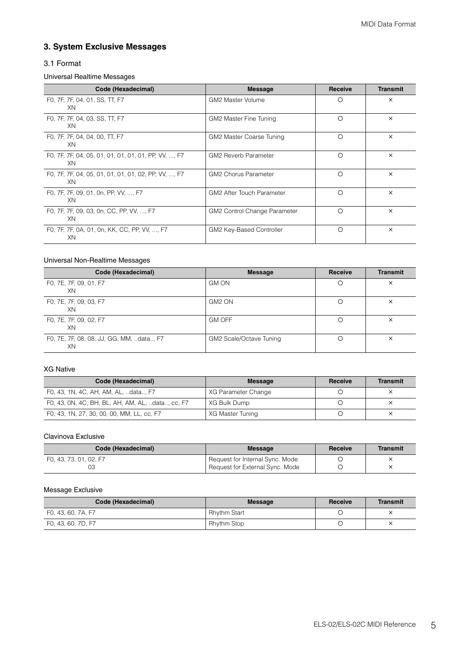#### **3. System Exclusive Messages**

#### 3.1 Format

#### Universal Realtime Messages

| Code (Hexadecimal)                                         | <b>Message</b>                   | <b>Receive</b> | <b>Transmit</b> |
|------------------------------------------------------------|----------------------------------|----------------|-----------------|
| FO, 7F, 7F, 04, 01, SS, TT, F7<br>XN                       | GM2 Master Volume                | $\circ$        | $\times$        |
| FO, 7F, 7F, 04, 03, SS, TT, F7<br>XN                       | GM2 Master Fine Tuning           | ∩              | $\times$        |
| FO, 7F, 7F, 04, 04, 00, TT, F7<br>XN                       | GM2 Master Coarse Tuning         | $\bigcirc$     | $\times$        |
| F0, 7F, 7F, 04, 05, 01, 01, 01, 01, 01, PP, VV, , F7<br>XN | <b>GM2 Reverb Parameter</b>      | $\bigcirc$     | $\times$        |
| FO, 7F, 7F, 04, 05, 01, 01, 01, 01, 02, PP, VV, , F7<br>XN | <b>GM2 Chorus Parameter</b>      | ∩              | $\times$        |
| F0, 7F, 7F, 09, 01, 0n, PP, VV, , F7<br>XN                 | <b>GM2 After Touch Parameter</b> | $\bigcirc$     | $\times$        |
| FO, 7F, 7F, 09, 03, 0n, CC, PP, VV, , F7<br>XN             | GM2 Control Change Parameter     | ◯              | $\times$        |
| F0, 7F, 7F, 0A, 01, 0n, KK, CC, PP, VV, , F7<br>XN         | GM2 Key-Based Controller         | ∩              | $\times$        |

#### Universal Non-Realtime Messages

| Code (Hexadecimal)                             | <b>Message</b>          | <b>Receive</b> | <b>Transmit</b> |
|------------------------------------------------|-------------------------|----------------|-----------------|
| FO, 7E, 7F, 09, 01, F7<br>XN                   | <b>GM ON</b>            | ∩              | $\times$        |
| FO, 7E, 7F, 09, 03, F7<br>XN                   | GM <sub>2</sub> ON      |                | $\times$        |
| FO, 7E, 7F, 09, 02, F7<br>XN                   | <b>GM OFF</b>           |                | $\times$        |
| F0, 7E, 7F, 08, 08, JJ, GG, MM, data, F7<br>XN | GM2 Scale/Octave Tuning |                | $\times$        |

#### XG Native

| Code (Hexadecimal)                               | <b>Message</b>      | Receive | <b>Transmit</b> |
|--------------------------------------------------|---------------------|---------|-----------------|
| F0, 43, 1N, 4C, AH, AM, AL, data F7              | XG Parameter Change |         |                 |
| F0, 43, 0N, 4C, BH, BL, AH, AM, AL, data, cc, F7 | XG Bulk Dump        |         |                 |
| F0, 43, 1N, 27, 30, 00, 00, MM, LL, cc, F7       | XG Master Tuning    |         |                 |

#### Clavinova Exclusive

| Code (Hexadecimal)     | Message                         | Receive | Transmit |
|------------------------|---------------------------------|---------|----------|
| F0, 43, 73, 01, 02, F7 | Request for Internal Sync. Mode |         |          |
|                        | Request for External Sync. Mode |         |          |

#### Message Exclusive

| Code (Hexadecimal) | <b>Message</b>     | Receive | <b>Transmit</b> |
|--------------------|--------------------|---------|-----------------|
| F0, 43, 60, 7A, F7 | Rhythm Start       |         |                 |
| F0, 43, 60, 7D, F7 | <b>Rhythm Stop</b> |         | ×               |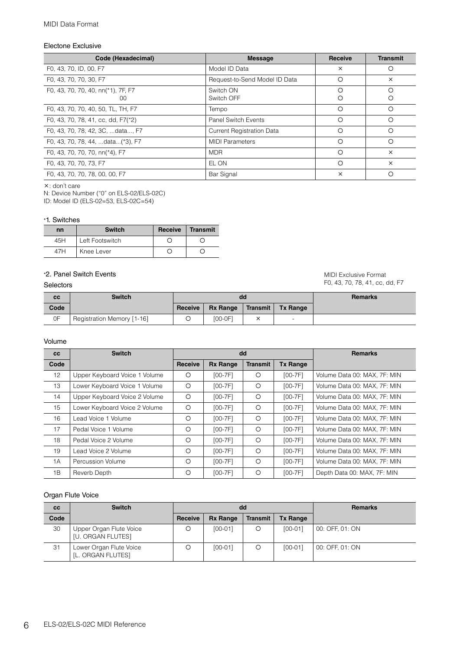#### Electone Exclusive

| Code (Hexadecimal)                         | <b>Message</b>                   | Receive  | <b>Transmit</b> |
|--------------------------------------------|----------------------------------|----------|-----------------|
| F0, 43, 70, ID, 00, F7                     | Model ID Data                    | $\times$ | O               |
| F0, 43, 70, 70, 30, F7                     | Request-to-Send Model ID Data    | ∩        | $\times$        |
| F0, 43, 70, 70, 40, nn(*1), 7F, F7<br>O(1) | Switch ON<br>Switch OFF          | O<br>Ο   | ∩<br>О          |
| FO, 43, 70, 70, 40, 50, TL, TH, F7         | Tempo                            | $\circ$  | $\circ$         |
| F0, 43, 70, 78, 41, cc, dd, F7(*2)         | <b>Panel Switch Events</b>       | $\circ$  | $\circ$         |
| F0, 43, 70, 78, 42, 3C,  data, F7          | <b>Current Registration Data</b> | ◯        | $\circ$         |
| F0, 43, 70, 78, 44,  data(*3), F7          | <b>MIDI Parameters</b>           | ◯        | $\bigcirc$      |
| F0, 43, 70, 70, 70, nn(*4), F7             | <b>MDR</b>                       | ∩        | $\times$        |
| F0, 43, 70, 70, 73, F7                     | EL ON                            | $\circ$  | $\times$        |
| F0, 43, 70, 70, 78, 00, 00, F7             | Bar Signal                       | $\times$ | O               |

: don't care

N: Device Number ("0" on ELS-02/ELS-02C)

ID: Model ID (ELS-02=53, ELS-02C=54)

#### \*1. Switches

| nn  | <b>Switch</b>   | Receive | <b>∣Transmit</b> |
|-----|-----------------|---------|------------------|
| 45H | Left Footswitch |         |                  |
| 47H | Knee Lever      |         |                  |

#### \*2. Panel Switch Events

#### Selectors

MIDI Exclusive Format F0, 43, 70, 78, 41, cc, dd, F7

| cc   | <b>Switch</b>              |         | dd              |          | <b>Remarks</b>           |  |
|------|----------------------------|---------|-----------------|----------|--------------------------|--|
| Code |                            | Receive | <b>Rx Range</b> | Transmit | Tx Range                 |  |
| 0F   | Registration Memory [1-16] |         | $[00-0F]$       |          | $\overline{\phantom{0}}$ |  |

#### Volume

| <b>CC</b>         | <b>Switch</b>                 |                |                 | dd              |                 | <b>Remarks</b>               |
|-------------------|-------------------------------|----------------|-----------------|-----------------|-----------------|------------------------------|
| Code              |                               | <b>Receive</b> | <b>Rx Range</b> | <b>Transmit</b> | <b>Tx Range</b> |                              |
| $12 \overline{ }$ | Upper Keyboard Voice 1 Volume | Ο              | $[00-7F]$       | Ο               | $[00-7F]$       | Volume Data 00: MAX, 7F: MIN |
| 13                | Lower Keyboard Voice 1 Volume | O              | $[00-7F]$       | $\circ$         | $[00-7F]$       | Volume Data 00: MAX, 7F: MIN |
| 14                | Upper Keyboard Voice 2 Volume | $\circ$        | $[00-7F]$       | O               | $[00-7F]$       | Volume Data 00: MAX, 7F: MIN |
| 15                | Lower Keyboard Voice 2 Volume | O              | $[00-7F]$       | $\circ$         | $[00-7F]$       | Volume Data 00: MAX, 7F: MIN |
| 16                | Lead Voice 1 Volume           | O              | $[00-7F]$       | $\circ$         | $[00-7F]$       | Volume Data 00: MAX, 7F: MIN |
| 17                | Pedal Voice 1 Volume          | $\circ$        | $[00-7F]$       | $\circ$         | $[00-7F]$       | Volume Data 00: MAX, 7F: MIN |
| 18                | Pedal Voice 2 Volume          | $\circ$        | $[00-7F]$       | $\circ$         | $[00-7F]$       | Volume Data 00: MAX, 7F: MIN |
| 19                | ∟ead Voice 2 Volume           | $\circ$        | $[00-7F]$       | $\circ$         | $[00-7F]$       | Volume Data 00: MAX, 7F: MIN |
| 1A                | Percussion Volume             | $\circ$        | $[00-7F]$       | $\circ$         | $[00-7F]$       | Volume Data 00: MAX, 7F: MIN |
| 1B                | Reverb Depth                  | О              | $[00-7F]$       | Ω               | $[00-7F]$       | Depth Data 00: MAX, 7F: MIN  |

#### Organ Flute Voice

| cc   | <b>Switch</b>                                       |         |                 | dd              | <b>Remarks</b>  |                 |
|------|-----------------------------------------------------|---------|-----------------|-----------------|-----------------|-----------------|
| Code |                                                     | Receive | <b>Rx Range</b> | <b>Transmit</b> | <b>Tx Range</b> |                 |
| 30   | Upper Organ Flute Voice<br><b>IU. ORGAN FLUTESI</b> |         | $[00-01]$       |                 | $[00-01]$       | 00: OFF, 01: ON |
| 31   | Lower Organ Flute Voice<br>[L. ORGAN FLUTES]        |         | $[00-01]$       |                 | $[00-01]$       | 00: OFF, 01: ON |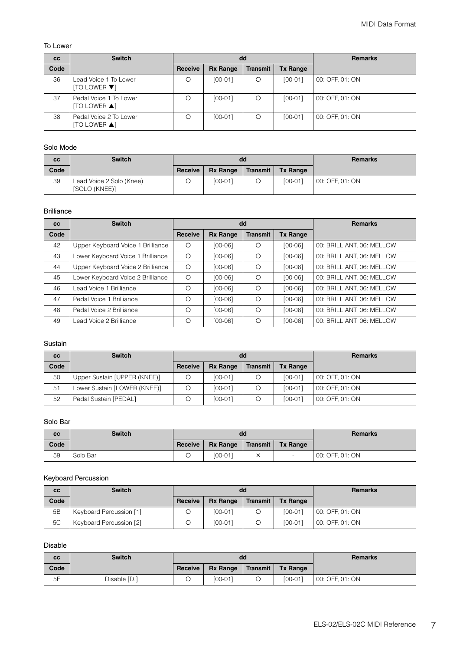#### To Lower

| cc   | <b>Switch</b>                             | dd      |                 |                 |                 | <b>Remarks</b>  |
|------|-------------------------------------------|---------|-----------------|-----------------|-----------------|-----------------|
| Code |                                           | Receive | <b>Rx Range</b> | <b>Transmit</b> | <b>Tx Range</b> |                 |
| 36   | Lead Voice 1 To Lower<br>$[TO$ LOWER $\P$ | Ο       | $[00-01]$       | Ο               | $[00-01]$       | 00: OFF, 01: ON |
| 37   | Pedal Voice 1 To Lower<br>[TO LOWER ▲]    | Ο       | $[00-01]$       | O               | $[00-01]$       | 00: OFF, 01: ON |
| 38   | Pedal Voice 2 To Lower<br>[TO LOWER ▲]    | Ο       | $[00-01]$       | Ο               | $[00-01]$       | 00: OFF, 01: ON |

#### Solo Mode

| cc   | <b>Switch</b>                             |         |                 | dd       | <b>Remarks</b>  |                 |
|------|-------------------------------------------|---------|-----------------|----------|-----------------|-----------------|
| Code |                                           | Receive | <b>Rx Range</b> | Transmit | <b>Tx Range</b> |                 |
| 39   | Lead Voice 2 Solo (Knee)<br>[SOLO (KNEE)] |         | $[00-01]$       |          | $[00-01]$       | 00: OFF, 01: ON |

#### Brilliance

| <b>CC</b> | <b>Switch</b>                     |         |                 | dd              | <b>Remarks</b>  |                           |
|-----------|-----------------------------------|---------|-----------------|-----------------|-----------------|---------------------------|
| Code      |                                   | Receive | <b>Rx Range</b> | <b>Transmit</b> | <b>Tx Range</b> |                           |
| 42        | Upper Keyboard Voice 1 Brilliance | O       | $[00-06]$       | O               | $[00-06]$       | 00: BRILLIANT, 06: MELLOW |
| 43        | Lower Keyboard Voice 1 Brilliance | $\circ$ | $[00-06]$       | O               | $[00-06]$       | 00: BRILLIANT, 06: MELLOW |
| 44        | Upper Keyboard Voice 2 Brilliance | O       | $[00-06]$       | $\circ$         | $[00-06]$       | 00: BRILLIANT, 06: MELLOW |
| 45        | Lower Keyboard Voice 2 Brilliance | $\circ$ | $[00-06]$       | O               | $[00-06]$       | 00: BRILLIANT, 06: MELLOW |
| 46        | Lead Voice 1 Brilliance           | $\circ$ | $[00-06]$       | O               | $[00-06]$       | 00: BRILLIANT, 06: MELLOW |
| 47        | Pedal Voice 1 Brilliance          | Ο       | $[00-06]$       | $\circ$         | $[00-06]$       | 00: BRILLIANT, 06: MELLOW |
| 48        | Pedal Voice 2 Brilliance          | O       | $[00-06]$       | O               | $[00-06]$       | 00: BRILLIANT, 06: MELLOW |
| 49        | Lead Voice 2 Brilliance           | $\circ$ | $[00-06]$       | Ο               | $[00-06]$       | 00: BRILLIANT, 06: MELLOW |

#### Sustain

| cc   | <b>Switch</b>                |         |                 | dd              | <b>Remarks</b>  |                 |
|------|------------------------------|---------|-----------------|-----------------|-----------------|-----------------|
| Code |                              | Receive | <b>Rx Range</b> | <b>Transmit</b> | <b>Tx Range</b> |                 |
| 50   | Upper Sustain [UPPER (KNEE)] |         | $[00-01]$       |                 | $[00-01]$       | 00: OFF, 01: ON |
| 51   | Lower Sustain [LOWER (KNEE)] |         | [00-01]         |                 | $[00-01]$       | 00: OFF, 01: ON |
| 52   | Pedal Sustain [PEDAL]        |         | $[00-01]$       |                 | $[00-01]$       | 00: OFF, 01: ON |

#### Solo Bar

| cc   | <b>Switch</b> |         | dd              |          | <b>Remarks</b>  |                 |
|------|---------------|---------|-----------------|----------|-----------------|-----------------|
| Code |               | Receive | <b>Rx Range</b> | Transmit | <b>Tx Range</b> |                 |
| 59   | Solo Bar      |         | [00-01]         |          | $\sim$          | 00: OFF, 01: ON |

#### Keyboard Percussion

| cc   | <b>Switch</b>           |         |                 | dd       | <b>Remarks</b>  |                 |
|------|-------------------------|---------|-----------------|----------|-----------------|-----------------|
| Code |                         | Receive | <b>Rx Range</b> | Transmit | <b>Tx Range</b> |                 |
| 5B   | Keyboard Percussion [1] |         | $[00-01]$       |          | $[00-01]$       | 00: OFF, 01: ON |
| 5C   | Keyboard Percussion [2] |         | $[00-01]$       |          | $[00-01]$       | 00: OFF, 01: ON |

#### Disable

| cc   | <b>Switch</b> | dd                                                          |           |  |           | <b>Remarks</b>  |
|------|---------------|-------------------------------------------------------------|-----------|--|-----------|-----------------|
| Code |               | <b>Rx Range</b><br>Transmit  <br><b>Tx Range</b><br>Receive |           |  |           |                 |
| 5F   | Disable [D.]  |                                                             | $[00-01]$ |  | $[00-01]$ | 00: OFF, 01: ON |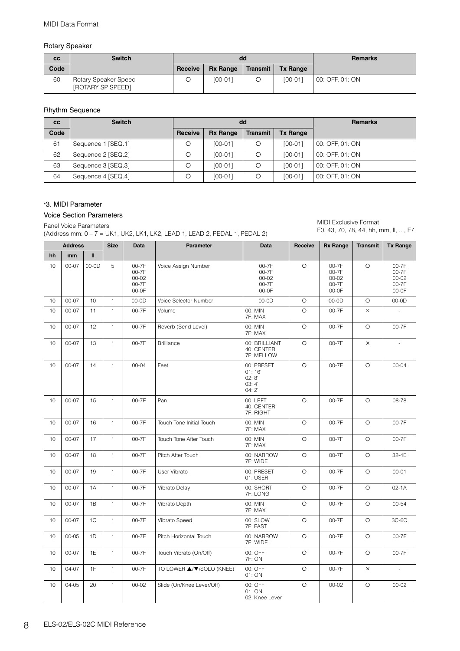#### Rotary Speaker

| cc   | <b>Switch</b>                             |         |                 | dd       | <b>Remarks</b>  |                 |
|------|-------------------------------------------|---------|-----------------|----------|-----------------|-----------------|
| Code |                                           | Receive | <b>Rx Range</b> | Transmit | <b>Tx Range</b> |                 |
| 60   | Rotary Speaker Speed<br>[ROTARY SP SPEED] |         | $[00-01]$       |          | $[00-01]$       | 00: OFF, 01: ON |

#### Rhythm Sequence

| cc   | <b>Switch</b>      |         |                 | dd              | <b>Remarks</b>  |                 |
|------|--------------------|---------|-----------------|-----------------|-----------------|-----------------|
| Code |                    | Receive | <b>Rx Range</b> | <b>Transmit</b> | <b>Tx Range</b> |                 |
| 61   | Sequence 1 [SEQ.1] |         | [00-01]         | Ο               | $[00-01]$       | 00: OFF, 01: ON |
| 62   | Sequence 2 [SEQ.2] |         | [00-01]         |                 | $[00-01]$       | 00: OFF, 01: ON |
| 63   | Sequence 3 [SEQ.3] |         | $[00-01]$       |                 | $[00-01]$       | 00: OFF, 01: ON |
| 64   | Sequence 4 [SEQ.4] |         | $[00-01]$       |                 | $[00-01]$       | 00: OFF, 01: ON |

#### \*3. MIDI Parameter

#### Voice Section Parameters

#### Panel Voice Parameters

(Address mm: 0 – 7 = UK1, UK2, LK1, LK2, LEAD 1, LEAD 2, PEDAL 1, PEDAL 2)

MIDI Exclusive Format F0, 43, 70, 78, 44, hh, mm, ll, ..., F7

|    | <b>Address</b> |              | <b>Size</b>  | <b>Data</b>                                     | Parameter                 | <b>Data</b>                                     | Receive | <b>Rx Range</b>                                     | <b>Transmit</b> | <b>Tx Range</b>                                 |
|----|----------------|--------------|--------------|-------------------------------------------------|---------------------------|-------------------------------------------------|---------|-----------------------------------------------------|-----------------|-------------------------------------------------|
| hh | mm             | $\mathbf{H}$ |              |                                                 |                           |                                                 |         |                                                     |                 |                                                 |
| 10 | $00 - 07$      | $00-0D$      | 5            | 00-7F<br>00-7F<br>$00 - 02$<br>00-7F<br>$00-0F$ | Voice Assign Number       | 00-7F<br>00-7F<br>$00 - 02$<br>00-7F<br>$00-0F$ | $\circ$ | $00 - 7F$<br>00-7F<br>$00 - 02$<br>00-7F<br>$00-0F$ | $\circ$         | 00-7F<br>00-7F<br>$00 - 02$<br>00-7F<br>$00-0F$ |
| 10 | $00 - 07$      | 10           | $\mathbf{1}$ | $00-0D$                                         | Voice Selector Number     | $00-0D$                                         | $\circ$ | $00-0D$                                             | $\circ$         | $00-0D$                                         |
| 10 | $00 - 07$      | 11           | 1            | 00-7F                                           | Volume                    | 00: MIN<br>7F: MAX                              | O       | 00-7F                                               | ×               |                                                 |
| 10 | 00-07          | 12           | 1            | 00-7F                                           | Reverb (Send Level)       | 00: MIN<br>7F: MAX                              | $\circ$ | 00-7F                                               | $\circ$         | 00-7F                                           |
| 10 | $00 - 07$      | 13           | $\mathbf{1}$ | 00-7F                                           | <b>Brilliance</b>         | 00: BRILLIANT<br>40: CENTER<br>7F: MELLOW       | $\circ$ | 00-7F                                               | $\times$        | ÷,                                              |
| 10 | $00 - 07$      | 14           | $\mathbf{1}$ | $00 - 04$                                       | Feet                      | 00: PRESET<br>01:16'<br>02:8'<br>03:4'<br>04:2' | $\circ$ | 00-7F                                               | $\circ$         | $00 - 04$                                       |
| 10 | 00-07          | 15           | $\mathbf{1}$ | 00-7F                                           | Pan                       | 00: LEFT<br>40: CENTER<br>7F: RIGHT             | $\circ$ | 00-7F                                               | $\circ$         | 08-78                                           |
| 10 | $00 - 07$      | 16           | $\mathbf{1}$ | 00-7F                                           | Touch Tone Initial Touch  | 00: MIN<br>7F: MAX                              | O       | 00-7F                                               | $\circ$         | 00-7F                                           |
| 10 | $00 - 07$      | 17           | $\mathbf{1}$ | 00-7F                                           | Touch Tone After Touch    | 00: MIN<br>7F: MAX                              | $\circ$ | 00-7F                                               | $\circ$         | 00-7F                                           |
| 10 | $00 - 07$      | 18           | $\mathbf{1}$ | 00-7F                                           | Pitch After Touch         | 00: NARROW<br>7F: WIDE                          | $\circ$ | 00-7F                                               | $\circ$         | 32-4E                                           |
| 10 | $00 - 07$      | 19           | 1            | 00-7F                                           | User Vibrato              | 00: PRESET<br>01: USER                          | O       | 00-7F                                               | $\circ$         | $00 - 01$                                       |
| 10 | $00 - 07$      | 1A           | $\mathbf{1}$ | 00-7F                                           | Vibrato Delay             | 00: SHORT<br>7F: LONG                           | $\circ$ | 00-7F                                               | $\circ$         | $02 - 1A$                                       |
| 10 | $00 - 07$      | 1B           | $\mathbf{1}$ | 00-7F                                           | Vibrato Depth             | 00: MIN<br>7F: MAX                              | $\circ$ | 00-7F                                               | $\circ$         | 00-54                                           |
| 10 | $00 - 07$      | 1C           | $\mathbf{1}$ | 00-7F                                           | Vibrato Speed             | 00: SLOW<br>7F: FAST                            | $\circ$ | 00-7F                                               | $\circ$         | $3C-6C$                                         |
| 10 | $00 - 05$      | 1D           | 1            | 00-7F                                           | Pitch Horizontal Touch    | 00: NARROW<br>7F: WIDE                          | $\circ$ | 00-7F                                               | $\circ$         | 00-7F                                           |
| 10 | $00 - 07$      | 1E           | $\mathbf{1}$ | 00-7F                                           | Touch Vibrato (On/Off)    | 00: OFF<br>7F: ON                               | $\circ$ | 00-7F                                               | $\circ$         | 00-7F                                           |
| 10 | 04-07          | 1F           | 1            | 00-7F                                           | TO LOWER ▲/▼/SOLO (KNEE)  | 00: OFF<br>01: ON                               | $\circ$ | 00-7F                                               | $\times$        | $\overline{\phantom{a}}$                        |
| 10 | 04-05          | 20           | 1            | $00 - 02$                                       | Slide (On/Knee Lever/Off) | 00: OFF<br>01: ON<br>02: Knee Lever             | $\circ$ | $00 - 02$                                           | $\circ$         | $00 - 02$                                       |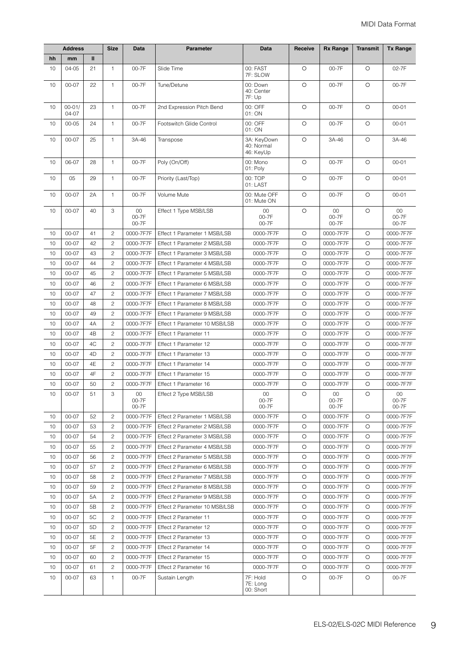|    | <b>Address</b>      |               | <b>Size</b>    | Data                     | <b>Parameter</b>              | Data                                   | Receive | <b>Rx Range</b>          | <b>Transmit</b> | <b>Tx Range</b>          |
|----|---------------------|---------------|----------------|--------------------------|-------------------------------|----------------------------------------|---------|--------------------------|-----------------|--------------------------|
| hh | mm                  | $\mathbf{II}$ |                |                          |                               |                                        |         |                          |                 |                          |
| 10 | 04-05               | 21            | 1              | 00-7F                    | Slide Time                    | 00: FAST<br>7F: SLOW                   | O       | 00-7F                    | $\circ$         | 02-7F                    |
| 10 | 00-07               | 22            | 1              | 00-7F                    | Tune/Detune                   | 00: Down<br>40: Center<br>7F: Up       | $\circ$ | 00-7F                    | $\circ$         | 00-7F                    |
| 10 | $00 - 01/$<br>04-07 | 23            | $\mathbf{1}$   | 00-7F                    | 2nd Expression Pitch Bend     | 00: OFF<br>01: ON                      | $\circ$ | 00-7F                    | $\circ$         | $00 - 01$                |
| 10 | $00 - 05$           | 24            | $\mathbf{1}$   | 00-7F                    | Footswitch Glide Control      | 00: OFF<br>01: ON                      | $\circ$ | 00-7F                    | $\circ$         | $00 - 01$                |
| 10 | $00 - 07$           | 25            | $\mathbf{1}$   | 3A-46                    | Transpose                     | 3A: KeyDown<br>40: Normal<br>46: KeyUp | $\circ$ | 3A-46                    | $\circ$         | 3A-46                    |
| 10 | 06-07               | 28            | $\mathbf{1}$   | 00-7F                    | Poly (On/Off)                 | 00: Mono<br>01: Poly                   | $\circ$ | 00-7F                    | $\circ$         | $00 - 01$                |
| 10 | 05                  | 29            | $\mathbf{1}$   | 00-7F                    | Priority (Last/Top)           | 00: TOP<br>01: LAST                    | O       | 00-7F                    | O               | $00 - 01$                |
| 10 | $00 - 07$           | 2A            | $\mathbf{1}$   | 00-7F                    | Volume Mute                   | 00: Mute OFF<br>01: Mute ON            | $\circ$ | 00-7F                    | $\circ$         | $00 - 01$                |
| 10 | $00 - 07$           | 40            | 3              | $00\,$<br>00-7F<br>00-7F | Effect 1 Type MSB/LSB         | $00\,$<br>00-7F<br>00-7F               | $\circ$ | $00\,$<br>00-7F<br>00-7F | $\circ$         | $00\,$<br>00-7F<br>00-7F |
| 10 | $00 - 07$           | 41            | 2              | 0000-7F7F                | Effect 1 Parameter 1 MSB/LSB  | 0000-7F7F                              | O       | 0000-7F7F                | O               | 0000-7F7F                |
| 10 | $00 - 07$           | 42            | $\overline{c}$ | 0000-7F7F                | Effect 1 Parameter 2 MSB/LSB  | 0000-7F7F                              | O       | 0000-7F7F                | O               | 0000-7F7F                |
| 10 | 00-07               | 43            | $\mathbf{2}$   | 0000-7F7F                | Effect 1 Parameter 3 MSB/LSB  | 0000-7F7F                              | O       | 0000-7F7F                | O               | 0000-7F7F                |
| 10 | 00-07               | 44            | $\mathbf{2}$   | 0000-7F7F                | Effect 1 Parameter 4 MSB/LSB  | 0000-7F7F                              | O       | 0000-7F7F                | $\circ$         | 0000-7F7F                |
| 10 | 00-07               | 45            | $\overline{c}$ | 0000-7F7F                | Effect 1 Parameter 5 MSB/LSB  | 0000-7F7F                              | $\circ$ | 0000-7F7F                | $\circ$         | 0000-7F7F                |
| 10 | 00-07               | 46            | $\mathbf{2}$   | 0000-7F7F                | Effect 1 Parameter 6 MSB/LSB  | 0000-7F7F                              | O       | 0000-7F7F                | $\circ$         | 0000-7F7F                |
| 10 | 00-07               | 47            | $\mathbf{2}$   | 0000-7F7F                | Effect 1 Parameter 7 MSB/LSB  | 0000-7F7F                              | O       | 0000-7F7F                | O               | 0000-7F7F                |
| 10 | $00 - 07$           | 48            | $\overline{c}$ | 0000-7F7F                | Effect 1 Parameter 8 MSB/LSB  | 0000-7F7F                              | $\circ$ | 0000-7F7F                | $\circ$         | 0000-7F7F                |
| 10 | 00-07               | 49            | $\mathbf{2}$   | 0000-7F7F                | Effect 1 Parameter 9 MSB/LSB  | 0000-7F7F                              | O       | 0000-7F7F                | $\circ$         | 0000-7F7F                |
| 10 | 00-07               | 4A            | $\mathbf{2}$   | 0000-7F7F                | Effect 1 Parameter 10 MSB/LSB | 0000-7F7F                              | O       | 0000-7F7F                | $\circ$         | 0000-7F7F                |
| 10 | 00-07               | 4B            | $\overline{c}$ | 0000-7F7F                | Effect 1 Parameter 11         | 0000-7F7F                              | $\circ$ | 0000-7F7F                | $\circ$         | 0000-7F7F                |
| 10 | 00-07               | 4C            | $\mathbf{2}$   | 0000-7F7F                | Effect 1 Parameter 12         | 0000-7F7F                              | O       | 0000-7F7F                | $\circ$         | 0000-7F7F                |
| 10 | 00-07               | 4D            | $\mathbf{2}$   | 0000-7F7F                | Effect 1 Parameter 13         | 0000-7F7F                              | O       | 0000-7F7F                | $\circ$         | 0000-7F7F                |
| 10 | 00-07               | 4E            | $\overline{c}$ | 0000-7F7F                | Effect 1 Parameter 14         | 0000-7F7F                              | O       | 0000-7F7F                | $\circ$         | 0000-7F7F                |
| 10 | 00-07               | 4F            | $\overline{c}$ | 0000-7F7F                | Effect 1 Parameter 15         | 0000-7F7F                              | O       | 0000-7F7F                | $\circ$         | 0000-7F7F                |
| 10 | 00-07               | 50            | $\mathbf{2}$   | 0000-7F7F                | Effect 1 Parameter 16         | 0000-7F7F                              | O       | 0000-7F7F                | O               | 0000-7F7F                |
| 10 | 00-07               | 51            | 3              | 00<br>00-7F<br>00-7F     | Effect 2 Type MSB/LSB         | $00\,$<br>00-7F<br>00-7F               | O       | 00<br>00-7F<br>00-7F     | $\circ$         | $00\,$<br>00-7F<br>00-7F |
| 10 | 00-07               | 52            | $\mathbf{2}$   | 0000-7F7F                | Effect 2 Parameter 1 MSB/LSB  | 0000-7F7F                              | $\circ$ | 0000-7F7F                | $\circ$         | 0000-7F7F                |
| 10 | 00-07               | 53            | $\mathbf{2}$   | 0000-7F7F                | Effect 2 Parameter 2 MSB/LSB  | 0000-7F7F                              | O       | 0000-7F7F                | $\circ$         | 0000-7F7F                |
| 10 | 00-07               | 54            | $\mathbf{2}$   | 0000-7F7F                | Effect 2 Parameter 3 MSB/LSB  | 0000-7F7F                              | O       | 0000-7F7F                | O               | 0000-7F7F                |
| 10 | 00-07               | 55            | $\mathbf{2}$   | 0000-7F7F                | Effect 2 Parameter 4 MSB/LSB  | 0000-7F7F                              | O       | 0000-7F7F                | O               | 0000-7F7F                |
| 10 | 00-07               | 56            | $\overline{c}$ | 0000-7F7F                | Effect 2 Parameter 5 MSB/LSB  | 0000-7F7F                              | O       | 0000-7F7F                | O               | 0000-7F7F                |
| 10 | 00-07               | 57            | $\overline{c}$ | 0000-7F7F                | Effect 2 Parameter 6 MSB/LSB  | 0000-7F7F                              | O       | 0000-7F7F                | O               | 0000-7F7F                |
| 10 | 00-07               | 58            | $\overline{c}$ | 0000-7F7F                | Effect 2 Parameter 7 MSB/LSB  | 0000-7F7F                              | $\circ$ | 0000-7F7F                | $\circ$         | 0000-7F7F                |
| 10 | 00-07               | 59            | $\mathbf{2}$   | 0000-7F7F                | Effect 2 Parameter 8 MSB/LSB  | 0000-7F7F                              | $\circ$ | 0000-7F7F                | $\circ$         | 0000-7F7F                |
| 10 | 00-07               | 5A            | $\mathbf{2}$   | 0000-7F7F                | Effect 2 Parameter 9 MSB/LSB  | 0000-7F7F                              | O       | 0000-7F7F                | $\circ$         | 0000-7F7F                |
| 10 | 00-07               | 5B            | $\mathbf{2}$   | 0000-7F7F                | Effect 2 Parameter 10 MSB/LSB | 0000-7F7F                              | O       | 0000-7F7F                | O               | 0000-7F7F                |
| 10 | 00-07               | 5C            | $\mathbf{2}$   | 0000-7F7F                | Effect 2 Parameter 11         | 0000-7F7F                              | O       | 0000-7F7F                | O               | 0000-7F7F                |
| 10 | 00-07               | 5D            | $\overline{c}$ | 0000-7F7F                | Effect 2 Parameter 12         | 0000-7F7F                              | O       | 0000-7F7F                | O               | 0000-7F7F                |
| 10 | 00-07               | 5E            | 2              | 0000-7F7F                | Effect 2 Parameter 13         | 0000-7F7F                              | O       | 0000-7F7F                | O               | 0000-7F7F                |
| 10 | 00-07               | 5F            | $\mathbf{2}$   | 0000-7F7F                | Effect 2 Parameter 14         | 0000-7F7F                              | O       | 0000-7F7F                | $\circ$         | 0000-7F7F                |
| 10 | 00-07               | 60            | $\mathbf{2}$   | 0000-7F7F                | Effect 2 Parameter 15         | 0000-7F7F                              | O       | 0000-7F7F                | O               | 0000-7F7F                |
| 10 | 00-07               | 61            | $\mathbf{2}$   | 0000-7F7F                | Effect 2 Parameter 16         | 0000-7F7F                              | O       | 0000-7F7F                | $\circ$         | 0000-7F7F                |
| 10 | 00-07               | 63            | 1              | 00-7F                    | Sustain Length                | 7F: Hold<br>7E: Long<br>00: Short      | O       | 00-7F                    | O               | 00-7F                    |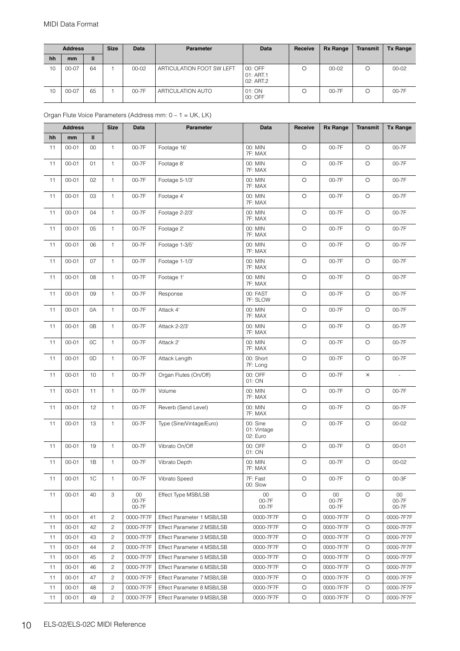|    | <b>Address</b> |    | <b>Size</b> | <b>Data</b> | <b>Parameter</b>          | Data                              | Receive | <b>Rx Range</b> | <b>Transmit</b> | <b>Tx Range</b> |
|----|----------------|----|-------------|-------------|---------------------------|-----------------------------------|---------|-----------------|-----------------|-----------------|
| hh | mm             | Ш  |             |             |                           |                                   |         |                 |                 |                 |
| 10 | $00 - 07$      | 64 |             | $00 - 02$   | ARTICULATION FOOT SW LEFT | 00: OFF<br>01: ART.1<br>02: ART.2 | O       | $00 - 02$       |                 | $00 - 02$       |
| 10 | 00-07          | 65 |             | $00-7F$     | ARTICULATION AUTO         | 01: ON<br>00: OFF                 |         | $00-7F$         |                 | 00-7F           |

#### Organ Flute Voice Parameters (Address mm: 0 – 1 = UK, LK)

|    | <b>Address</b> |    | <b>Size</b>    | <b>Data</b>              | Parameter                  | Data                                | Receive    | <b>Rx Range</b>          | <b>Transmit</b> | <b>Tx Range</b>          |
|----|----------------|----|----------------|--------------------------|----------------------------|-------------------------------------|------------|--------------------------|-----------------|--------------------------|
| hh | mm             | Ш  |                |                          |                            |                                     |            |                          |                 |                          |
| 11 | $00 - 01$      | 00 | $\mathbf{1}$   | 00-7F                    | Footage 16'                | 00: MIN<br>7F: MAX                  | O          | 00-7F                    | $\circ$         | 00-7F                    |
| 11 | $00 - 01$      | 01 | 1              | 00-7F                    | Footage 8'                 | 00: MIN<br>7F: MAX                  | $\circ$    | 00-7F                    | $\circ$         | 00-7F                    |
| 11 | $00 - 01$      | 02 | $\mathbf{1}$   | 00-7F                    | Footage 5-1/3'             | 00: MIN<br>7F: MAX                  | $\bigcirc$ | 00-7F                    | $\bigcirc$      | 00-7F                    |
| 11 | $00 - 01$      | 03 | $\mathbf{1}$   | 00-7F                    | Footage 4'                 | 00: MIN<br>7F: MAX                  | $\circ$    | 00-7F                    | $\circ$         | 00-7F                    |
| 11 | $00 - 01$      | 04 | $\mathbf{1}$   | 00-7F                    | Footage 2-2/3'             | 00: MIN<br>7F: MAX                  | $\circ$    | 00-7F                    | $\circ$         | 00-7F                    |
| 11 | $00 - 01$      | 05 | 1              | 00-7F                    | Footage 2'                 | 00: MIN<br>7F: MAX                  | $\circ$    | 00-7F                    | $\circ$         | 00-7F                    |
| 11 | $00 - 01$      | 06 | $\mathbf{1}$   | 00-7F                    | Footage 1-3/5'             | 00: MIN<br>7F: MAX                  | $\bigcirc$ | 00-7F                    | $\bigcirc$      | 00-7F                    |
| 11 | $00 - 01$      | 07 | 1              | 00-7F                    | Footage 1-1/3'             | 00: MIN<br>7F: MAX                  | $\circ$    | 00-7F                    | $\circ$         | 00-7F                    |
| 11 | $00 - 01$      | 08 | $\mathbf{1}$   | 00-7F                    | Footage 1'                 | 00: MIN<br>7F: MAX                  | $\circ$    | 00-7F                    | $\circ$         | 00-7F                    |
| 11 | $00 - 01$      | 09 | $\mathbf{1}$   | 00-7F                    | Response                   | 00: FAST<br>7F: SLOW                | $\circ$    | 00-7F                    | $\circ$         | 00-7F                    |
| 11 | $00 - 01$      | 0A | $\mathbf{1}$   | 00-7F                    | Attack 4'                  | 00: MIN<br>7F: MAX                  | $\circ$    | 00-7F                    | $\circ$         | 00-7F                    |
| 11 | $00 - 01$      | 0B | 1              | 00-7F                    | Attack 2-2/3'              | 00: MIN<br>7F: MAX                  | $\circ$    | 00-7F                    | $\circ$         | 00-7F                    |
| 11 | $00 - 01$      | 0C | $\mathbf{1}$   | 00-7F                    | Attack 2'                  | 00: MIN<br>7F: MAX                  | $\bigcirc$ | 00-7F                    | $\circ$         | 00-7F                    |
| 11 | $00 - 01$      | 0D | $\mathbf{1}$   | 00-7F                    | Attack Length              | 00: Short<br>7F: Long               | $\circ$    | 00-7F                    | $\circ$         | 00-7F                    |
| 11 | $00 - 01$      | 10 | $\mathbf{1}$   | 00-7F                    | Organ Flutes (On/Off)      | 00: OFF<br>01: ON                   | $\circ$    | 00-7F                    | $\times$        | $\overline{\phantom{a}}$ |
| 11 | $00 - 01$      | 11 | 1              | 00-7F                    | Volume                     | 00: MIN<br>7F: MAX                  | $\circ$    | 00-7F                    | $\circ$         | 00-7F                    |
| 11 | $00 - 01$      | 12 | $\mathbf{1}$   | 00-7F                    | Reverb (Send Level)        | 00: MIN<br>7F: MAX                  | $\circ$    | 00-7F                    | O               | 00-7F                    |
| 11 | $00 - 01$      | 13 | 1              | 00-7F                    | Type (Sine/Vintage/Euro)   | 00: Sine<br>01: Vintage<br>02: Euro | $\circ$    | 00-7F                    | $\circ$         | $00 - 02$                |
| 11 | $00 - 01$      | 19 | $\mathbf{1}$   | 00-7F                    | Vibrato On/Off             | 00: OFF<br>01: ON                   | $\circ$    | 00-7F                    | $\circ$         | $00 - 01$                |
| 11 | $00 - 01$      | 1B | 1              | 00-7F                    | Vibrato Depth              | 00: MIN<br>7F: MAX                  | $\circ$    | 00-7F                    | $\circ$         | $00 - 02$                |
| 11 | $00 - 01$      | 1C | 1              | 00-7F                    | Vibrato Speed              | 7F: Fast<br>00: Slow                | O          | 00-7F                    | O               | 00-3F                    |
| 11 | $00 - 01$      | 40 | 3              | $00\,$<br>00-7F<br>00-7F | Effect Type MSB/LSB        | $00\,$<br>00-7F<br>00-7F            | O          | $00\,$<br>00-7F<br>00-7F | $\circ$         | $00\,$<br>00-7F<br>00-7F |
| 11 | $00 - 01$      | 41 | $\overline{c}$ | 0000-7F7F                | Effect Parameter 1 MSB/LSB | 0000-7F7F                           | O          | 0000-7F7F                | $\circ$         | 0000-7F7F                |
| 11 | $00 - 01$      | 42 | $\overline{c}$ | 0000-7F7F                | Effect Parameter 2 MSB/LSB | 0000-7F7F                           | $\circ$    | 0000-7F7F                | O               | 0000-7F7F                |
| 11 | $00 - 01$      | 43 | 2              | 0000-7F7F                | Effect Parameter 3 MSB/LSB | 0000-7F7F                           | O          | 0000-7F7F                | O               | 0000-7F7F                |
| 11 | $00 - 01$      | 44 | $\overline{c}$ | 0000-7F7F                | Effect Parameter 4 MSB/LSB | 0000-7F7F                           | O          | 0000-7F7F                | $\circ$         | 0000-7F7F                |
| 11 | $00 - 01$      | 45 | $\overline{c}$ | 0000-7F7F                | Effect Parameter 5 MSB/LSB | 0000-7F7F                           | O          | 0000-7F7F                | $\circ$         | 0000-7F7F                |
| 11 | $00 - 01$      | 46 | $\mathbf{2}$   | 0000-7F7F                | Effect Parameter 6 MSB/LSB | 0000-7F7F                           | O          | 0000-7F7F                | O               | 0000-7F7F                |
| 11 | $00 - 01$      | 47 | $\overline{c}$ | 0000-7F7F                | Effect Parameter 7 MSB/LSB | 0000-7F7F                           | O          | 0000-7F7F                | O               | 0000-7F7F                |
| 11 | $00 - 01$      | 48 | $\overline{c}$ | 0000-7F7F                | Effect Parameter 8 MSB/LSB | 0000-7F7F                           | O          | 0000-7F7F                | $\circ$         | 0000-7F7F                |
| 11 | $00 - 01$      | 49 | $\overline{c}$ | 0000-7F7F                | Effect Parameter 9 MSB/LSB | 0000-7F7F                           | O          | 0000-7F7F                | O               | 0000-7F7F                |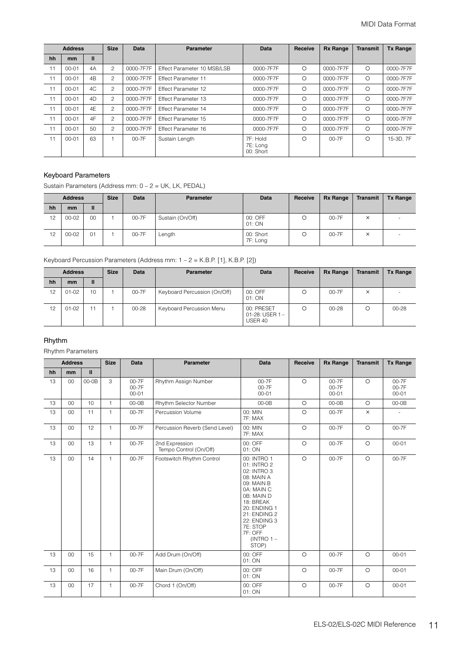|    | <b>Address</b> |    | <b>Size</b>   | <b>Data</b> | <b>Parameter</b>            | Data                              | Receive  | <b>Rx Range</b> | <b>Transmit</b> | <b>Tx Range</b> |
|----|----------------|----|---------------|-------------|-----------------------------|-----------------------------------|----------|-----------------|-----------------|-----------------|
| hh | <sub>mm</sub>  | Ш  |               |             |                             |                                   |          |                 |                 |                 |
| 11 | $00 - 01$      | 4A | 2             | 0000-7F7F   | Effect Parameter 10 MSB/LSB | 0000-7F7F                         | $\circ$  | 0000-7F7F       | $\Omega$        | 0000-7F7F       |
| 11 | $00 - 01$      | 4B | 2             | 0000-7F7F   | <b>Effect Parameter 11</b>  | 0000-7F7F                         | $\Omega$ | 0000-7F7F       | $\circ$         | 0000-7F7F       |
| 11 | $00 - 01$      | AC | $\mathcal{P}$ | 0000-7F7F   | <b>Effect Parameter 12</b>  | 0000-7F7F                         | $\circ$  | 0000-7F7F       | $\Omega$        | 0000-7F7F       |
| 11 | $00 - 01$      | 4D | 2             | 0000-7F7F   | <b>Effect Parameter 13</b>  | 0000-7F7F                         | $\circ$  | 0000-7F7F       | $\circ$         | 0000-7F7F       |
| 11 | $00 - 01$      | 4E | $\mathcal{P}$ | 0000-7F7F   | <b>Effect Parameter 14</b>  | 0000-7F7F                         | $\circ$  | 0000-7F7F       | $\circ$         | 0000-7F7F       |
| 11 | $00 - 01$      | 4F | 2             | 0000-7F7F   | <b>Effect Parameter 15</b>  | 0000-7F7F                         | $\circ$  | 0000-7F7F       | $\Omega$        | 0000-7F7F       |
| 11 | $00 - 01$      | 50 | 2             | 0000-7F7F   | <b>Effect Parameter 16</b>  | 0000-7F7F                         | $\circ$  | 0000-7F7F       | $\Omega$        | 0000-7F7F       |
| 11 | $00 - 01$      | 63 |               | 00-7F       | Sustain Length              | 7F: Hold<br>7E: Long<br>00: Short | $\Omega$ | $00 - 7F$       | $\circ$         | 15-3D, 7F       |

#### Keyboard Parameters

Sustain Parameters (Address mm: 0 – 2 = UK, LK, PEDAL)

|    | <b>Address</b> |    | <b>Size</b> | Data  | <b>Parameter</b>     | Data                  | Receive | <b>Rx Range</b> | Transmit         | <b>Tx Range</b> |
|----|----------------|----|-------------|-------|----------------------|-----------------------|---------|-----------------|------------------|-----------------|
| hh | mm             | П  |             |       |                      |                       |         |                 |                  |                 |
| 12 | $00 - 02$      | 00 |             | 00-7F | Sustain (On/Off)     | 00: OFF<br>01: ON     | О       | 00-7F           | $\times$         |                 |
| 12 | $00 - 02$      | 01 |             | 00-7F | $\text{\textendash}$ | 00: Short<br>7F: Long | О       | 00-7F           | $\check{ }$<br>ᄉ |                 |

Keyboard Percussion Parameters (Address mm: 1 – 2 = K.B.P. [1], K.B.P. [2])

|    | <b>Address</b> |    | <b>Size</b> | Data      | <b>Parameter</b>             | Data                                    | Receive | <b>Rx Range</b> | <b>Transmit</b> | <b>Tx Range</b> |
|----|----------------|----|-------------|-----------|------------------------------|-----------------------------------------|---------|-----------------|-----------------|-----------------|
| hh | mm             | Ш  |             |           |                              |                                         |         |                 |                 |                 |
| 12 | $01 - 02$      | 10 |             | 00-7F     | Keyboard Percussion (On/Off) | 00: OFF<br>01: ON                       | C       | 00-7F           | X               |                 |
| 12 | $01 - 02$      | ۱1 |             | $00 - 28$ | Keyboard Percussion Menu     | 00: PRESET<br>01-28: USER 1-<br>USER 40 |         | $00 - 28$       |                 | $00 - 28$       |

#### Rhythm

Rhythm Parameters

|    | <b>Address</b> |              | <b>Size</b>  | <b>Data</b>                 | <b>Parameter</b>                         | <b>Data</b>                                                                                                                                                                                                    | Receive | <b>Rx Range</b>               | <b>Transmit</b> | <b>Tx Range</b>             |
|----|----------------|--------------|--------------|-----------------------------|------------------------------------------|----------------------------------------------------------------------------------------------------------------------------------------------------------------------------------------------------------------|---------|-------------------------------|-----------------|-----------------------------|
| hh | mm             | $\mathbf{I}$ |              |                             |                                          |                                                                                                                                                                                                                |         |                               |                 |                             |
| 13 | 00             | $00-0B$      | 3            | 00-7F<br>00-7F<br>$00 - 01$ | Rhythm Assign Number                     | 00-7F<br>00-7F<br>$00 - 01$                                                                                                                                                                                    | $\circ$ | $00-7F$<br>00-7F<br>$00 - 01$ | $\circ$         | 00-7F<br>00-7F<br>$00 - 01$ |
| 13 | 00             | 10           | $\mathbf{1}$ | $00-0B$                     | Rhythm Selector Number                   | $00-0B$                                                                                                                                                                                                        | $\circ$ | $00-0B$                       | $\circ$         | $00-0B$                     |
| 13 | 00             | 11           | $\mathbf{1}$ | 00-7F                       | Percussion Volume                        | 00: MIN<br>7F: MAX                                                                                                                                                                                             | $\circ$ | 00-7F                         | $\times$        |                             |
| 13 | 00             | 12           | $\mathbf{1}$ | 00-7F                       | Percussion Reverb (Send Level)           | $00:$ MIN<br>7F: MAX                                                                                                                                                                                           | $\circ$ | 00-7F                         | $\circ$         | 00-7F                       |
| 13 | 00             | 13           | $\mathbf{1}$ | 00-7F                       | 2nd Expression<br>Tempo Control (On/Off) | 00: OFF<br>01: ON                                                                                                                                                                                              | $\circ$ | 00-7F                         | $\circ$         | $00 - 01$                   |
| 13 | 00             | 14           | $\mathbf{1}$ | 00-7F                       | Footswitch Rhythm Control                | 00: INTRO 1<br>01: INTRO 2<br>02: INTRO 3<br>08: MAIN A<br>09: MAIN B<br>0A: MAIN C<br>0B: MAIN D<br>18: BREAK<br>20: ENDING 1<br>21: ENDING 2<br>22: ENDING 3<br>7E: STOP<br>7F: OFF<br>$(INTRO 1 -$<br>STOP) | $\circ$ | 00-7F                         | $\circ$         | 00-7F                       |
| 13 | 00             | 15           | $\mathbf{1}$ | 00-7F                       | Add Drum (On/Off)                        | 00: OFF<br>01: ON                                                                                                                                                                                              | $\circ$ | 00-7F                         | $\circ$         | $00 - 01$                   |
| 13 | 00             | 16           | $\mathbf{1}$ | 00-7F                       | Main Drum (On/Off)                       | 00: OFF<br>01: ON                                                                                                                                                                                              | $\circ$ | 00-7F                         | $\circ$         | $00 - 01$                   |
| 13 | 00             | 17           | $\mathbf{1}$ | 00-7F                       | Chord 1 (On/Off)                         | 00: OFF<br>01: ON                                                                                                                                                                                              | $\circ$ | 00-7F                         | $\circ$         | $00 - 01$                   |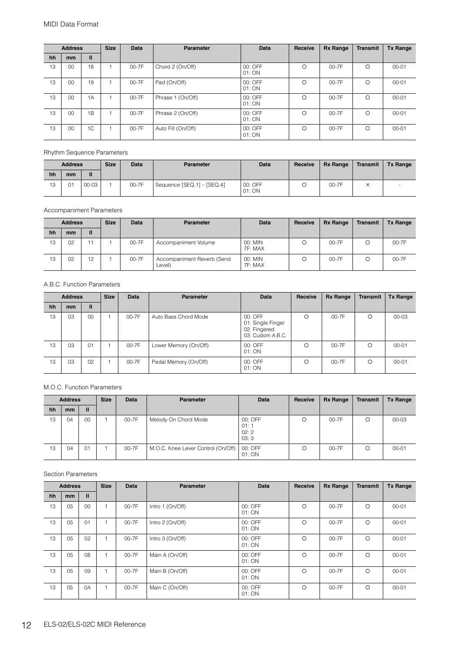|    | <b>Address</b> |    | <b>Size</b> | <b>Data</b> | <b>Parameter</b>   | <b>Data</b>       | Receive  | <b>Rx Range</b> | <b>Transmit</b> | <b>Tx Range</b> |
|----|----------------|----|-------------|-------------|--------------------|-------------------|----------|-----------------|-----------------|-----------------|
| hh | <sub>mm</sub>  | Ш  |             |             |                    |                   |          |                 |                 |                 |
| 13 | 00             | 18 |             | 00-7F       | Chord 2 (On/Off)   | 00: OFF<br>01: ON | $\Omega$ | 00-7F           | O               | $00 - 01$       |
| 13 | 00             | 19 |             | 00-7F       | Pad (On/Off)       | 00: OFF<br>01: ON | $\Omega$ | 00-7F           | $\Omega$        | $00 - 01$       |
| 13 | 00             | 1A |             | $00-7F$     | Phrase 1 (On/Off)  | 00: OFF<br>01: ON | $\Omega$ | $00-7F$         | $\Omega$        | $00 - 01$       |
| 13 | 00             | 1B |             | $00 - 7F$   | Phrase 2 (On/Off)  | 00: OFF<br>01: ON | $\Omega$ | $00-7F$         | $\Omega$        | $00 - 01$       |
| 13 | 00             | 1C |             | 00-7F       | Auto Fill (On/Off) | 00: OFF<br>01: ON | $\Omega$ | 00-7F           | Ω               | $00 - 01$       |

Rhythm Sequence Parameters

|    | <b>Address</b> |       | <b>Size</b> | <b>Data</b> | <b>Parameter</b>           | <b>Data</b>       | Receive | <b>Rx Range</b> | Transmit | <b>Tx Range</b> |
|----|----------------|-------|-------------|-------------|----------------------------|-------------------|---------|-----------------|----------|-----------------|
| hh | mm             |       |             |             |                            |                   |         |                 |          |                 |
| 13 | $\sim$         | 00-03 |             | 00-7F       | Sequence [SEQ.1] - [SEQ.4] | 00: OFF<br>01: ON |         | 00-7F           |          |                 |

Accompaniment Parameters

|    | <b>Address</b> |    | <b>Size</b> | <b>Data</b> | <b>Parameter</b>                     | <b>Data</b>        | Receive | <b>Rx Range</b> | Transmit | <b>Tx Range</b> |
|----|----------------|----|-------------|-------------|--------------------------------------|--------------------|---------|-----------------|----------|-----------------|
| hh | mm             | Ш  |             |             |                                      |                    |         |                 |          |                 |
| 13 | 0 <sup>2</sup> |    |             | $00-7F$     | Accompaniment Volume                 | 00: MIN<br>7F: MAX | Ο       | $00-7F$         |          | 00-7F           |
| 13 | 0 <sup>2</sup> | 12 |             | $00-7F$     | Accompaniment Reverb (Send<br>Level) | 00: MIN<br>7F: MAX | Ω       | $00-7F$         |          | 00-7F           |

A.B.C. Function Parameters

|    | <b>Address</b> |    | <b>Size</b> | Data    | <b>Parameter</b>      | Data                                                              | Receive | <b>Rx Range</b> | <b>Transmit</b> | <b>Tx Range</b> |
|----|----------------|----|-------------|---------|-----------------------|-------------------------------------------------------------------|---------|-----------------|-----------------|-----------------|
| hh | <sub>mm</sub>  | Ш  |             |         |                       |                                                                   |         |                 |                 |                 |
| 13 | 03             | 00 |             | $00-7F$ | Auto Bass Chord Mode  | 00: OFF<br>01: Single Finger<br>02: Fingered<br>03: Custom A.B.C. | O       | $00 - 7F$       | $\circ$         | $00 - 03$       |
| 13 | 03             | 01 |             | 00-7F   | Lower Memory (On/Off) | 00: OFF<br>01: ON                                                 | Ω       | $00-7F$         | $\circ$         | $00 - 01$       |
| 13 | 03             | 02 |             | 00-7F   | Pedal Memory (On/Off) | 00: OFF<br>01: ON                                                 | C       | $00 - 7F$       | $\Omega$        | $00 - 01$       |

M.O.C. Function Parameters

|    | <b>Address</b> |              | <b>Size</b> | Data  | <b>Parameter</b>                   | <b>Data</b>                     | Receive | <b>Rx Range</b> | Transmit | <b>Tx Range</b> |
|----|----------------|--------------|-------------|-------|------------------------------------|---------------------------------|---------|-----------------|----------|-----------------|
| hh | <sub>mm</sub>  | $\mathbf{I}$ |             |       |                                    |                                 |         |                 |          |                 |
| 13 | 04             | 00           |             | 00-7F | Melody On Chord Mode               | 00: OFF<br>01:1<br>02:2<br>03:3 | C       | 00-7F           |          | $00 - 03$       |
| 13 | 04             | 01           |             | 00-7F | M.O.C. Knee Lever Control (On/Off) | 00: OFF<br>01: ON               | O       | 00-7F           | O        | $00 - 01$       |

Section Parameters

|    | <b>Address</b> |                | <b>Size</b> | <b>Data</b> | <b>Parameter</b> | <b>Data</b>       | Receive  | <b>Rx Range</b> | <b>Transmit</b> | <b>Tx Range</b> |
|----|----------------|----------------|-------------|-------------|------------------|-------------------|----------|-----------------|-----------------|-----------------|
| hh | mm             | $\mathbf{I}$   |             |             |                  |                   |          |                 |                 |                 |
| 13 | 0 <sub>5</sub> | 0 <sup>0</sup> | ٠           | 00-7F       | Intro 1 (On/Off) | 00: OFF<br>01: ON | $\Omega$ | $00-7F$         | $\circ$         | $00 - 01$       |
| 13 | 05             | 01             |             | 00-7F       | Intro 2 (On/Off) | 00: OFF<br>01:ON  | $\Omega$ | $00 - 7F$       | $\circ$         | $00 - 01$       |
| 13 | 05             | 02             | 1           | 00-7F       | Intro 3 (On/Off) | 00: OFF<br>01: ON | $\Omega$ | 00-7F           | $\circ$         | $00 - 01$       |
| 13 | 05             | 08             | 1           | 00-7F       | Main A (On/Off)  | 00: OFF<br>01:ON  | $\circ$  | 00-7F           | $\circ$         | $00 - 01$       |
| 13 | 05             | 09             | 1           | 00-7F       | Main B (On/Off)  | 00: OFF<br>01: ON | $\circ$  | 00-7F           | $\circ$         | $00 - 01$       |
| 13 | 05             | 0A             | 1           | 00-7F       | Main C (On/Off)  | 00: OFF<br>01: ON | $\circ$  | 00-7F           | $\circ$         | $00 - 01$       |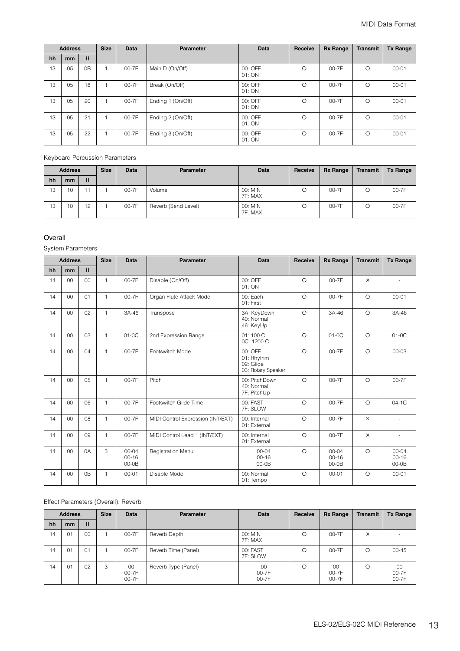|    | <b>Address</b> |                | <b>Size</b> | <b>Data</b> | Parameter         | <b>Data</b>       | Receive | <b>Rx Range</b> | <b>Transmit</b> | <b>Tx Range</b> |
|----|----------------|----------------|-------------|-------------|-------------------|-------------------|---------|-----------------|-----------------|-----------------|
| hh | <sub>mm</sub>  | Ш              |             |             |                   |                   |         |                 |                 |                 |
| 13 | 05             | 0 <sub>B</sub> |             | 00-7F       | Main D (On/Off)   | 00: OFF<br>01: ON | $\circ$ | $00-7F$         | O               | $00 - 01$       |
| 13 | 05             | 18             |             | 00-7F       | Break (On/Off)    | 00: OFF<br>01: ON | $\circ$ | $00-7F$         | O               | $00 - 01$       |
| 13 | 05             | 20             |             | 00-7F       | Ending 1 (On/Off) | 00: OFF<br>01: ON | $\circ$ | $00 - 7F$       | $\Omega$        | $00 - 01$       |
| 13 | 05             | 21             |             | 00-7F       | Ending 2 (On/Off) | 00: OFF<br>01: ON | $\circ$ | $00 - 7F$       | $\Omega$        | $00 - 01$       |
| 13 | 0 <sub>5</sub> | 22             |             | 00-7F       | Ending 3 (On/Off) | 00: OFF<br>01: ON | $\circ$ | $00 - 7F$       | $\Omega$        | $00 - 01$       |

Keyboard Percussion Parameters

|    | <b>Address</b> |    | <b>Size</b> | Data  | <b>Parameter</b>    | <b>Data</b>        | Receive | <b>Rx Range</b> | Transmit | <b>Tx Range</b> |
|----|----------------|----|-------------|-------|---------------------|--------------------|---------|-----------------|----------|-----------------|
| hh | mm             | Ш  |             |       |                     |                    |         |                 |          |                 |
| 13 | 10             | 11 |             | 00-7F | Volume              | 00: MIN<br>7F: MAX |         | 00-7F           |          | 00-7F           |
| 13 | 10             | 12 |             | 00-7F | Reverb (Send Level) | 00: MIN<br>7F: MAX |         | 00-7F           |          | 00-7F           |

#### Overall

System Parameters

|    | <b>Address</b> |                | <b>Size</b>  | <b>Data</b>                       | <b>Parameter</b>                  | <b>Data</b>                                                | <b>Receive</b> | <b>Rx Range</b>                   | <b>Transmit</b> | <b>Tx Range</b>                   |
|----|----------------|----------------|--------------|-----------------------------------|-----------------------------------|------------------------------------------------------------|----------------|-----------------------------------|-----------------|-----------------------------------|
| hh | mm             | $\mathbf{II}$  |              |                                   |                                   |                                                            |                |                                   |                 |                                   |
| 14 | 00             | $00\,$         | $\mathbf{1}$ | 00-7F                             | Disable (On/Off)                  | 00: OFF<br>01: ON                                          | $\circ$        | $00 - 7F$                         | $\times$        |                                   |
| 14 | 0 <sup>0</sup> | 01             | 1            | 00-7F                             | Organ Flute Attack Mode           | 00: Each<br>01: First                                      | $\circ$        | $00 - 7F$                         | $\circ$         | $00 - 01$                         |
| 14 | 00             | 02             | $\mathbf{1}$ | 3A-46                             | Transpose                         | 3A: KeyDown<br>40: Normal<br>46: KeyUp                     | $\circ$        | 3A-46                             | $\circ$         | 3A-46                             |
| 14 | 00             | 03             | $\mathbf{1}$ | $01-0C$                           | 2nd Expression Range              | 01:100 C<br>OC: 1200 C                                     | $\circ$        | $01-0C$                           | $\circ$         | $01-0C$                           |
| 14 | 0 <sup>0</sup> | 04             | $\mathbf{1}$ | $00-7F$                           | Footswitch Mode                   | $00:$ OFF<br>01: Rhythm<br>02: Glide<br>03: Rotary Speaker | $\Omega$       | $00 - 7F$                         | $\circ$         | $00 - 03$                         |
| 14 | 00             | 05             | 1            | 00-7F                             | Pitch                             | 00: PitchDown<br>40: Normal<br>7F: PitchUp                 | $\circ$        | 00-7F                             | $\circ$         | 00-7F                             |
| 14 | 00             | 06             | 1            | 00-7F                             | Footswitch Glide Time             | 00: FAST<br>7F: SLOW                                       | $\circ$        | 00-7F                             | $\circ$         | $04-1C$                           |
| 14 | 00             | 08             | 1            | 00-7F                             | MIDI Control Expression (INT/EXT) | 00: Internal<br>01: External                               | $\circ$        | 00-7F                             | $\times$        | $\sim$                            |
| 14 | 0 <sup>0</sup> | 09             | $\mathbf{1}$ | 00-7F                             | MIDI Control Lead 1 (INT/EXT)     | 00: Internal<br>01: External                               | $\Omega$       | $00 - 7F$                         | $\times$        | ÷                                 |
| 14 | 00             | 0A             | 3            | $00 - 04$<br>$00 - 16$<br>$00-0B$ | <b>Registration Menu</b>          | $00 - 04$<br>$00 - 16$<br>$00-0B$                          | $\Omega$       | $00 - 04$<br>$00 - 16$<br>$00-0B$ | $\circ$         | $00 - 04$<br>$00 - 16$<br>$00-0B$ |
| 14 | 00             | 0 <sub>B</sub> | 1            | $00 - 01$                         | Disable Mode                      | 00: Normal<br>01: Tempo                                    | $\circ$        | $00 - 01$                         | $\circ$         | $00 - 01$                         |

Effect Parameters (Overall): Reverb

|    | <b>Address</b> |              | <b>Size</b> | Data                     | <b>Parameter</b>    | <b>Data</b>          | Receive | <b>Rx Range</b>      | <b>Transmit</b> | <b>Tx Range</b>          |
|----|----------------|--------------|-------------|--------------------------|---------------------|----------------------|---------|----------------------|-----------------|--------------------------|
| hh | <sub>mm</sub>  | $\mathbf{u}$ |             |                          |                     |                      |         |                      |                 |                          |
| 14 | 01             | 00           |             | 00-7F                    | Reverb Depth        | 00: MIN<br>7F: MAX   | O       | $00 - 7F$            | $\times$        |                          |
| 14 | 01             | 01           |             | 00-7F                    | Reverb Time (Panel) | 00: FAST<br>7F: SLOW | O       | $00 - 7F$            | O               | $00 - 45$                |
| 14 | 01             | 02           | 3           | $00\,$<br>00-7F<br>00-7F | Reverb Type (Panel) | 00<br>00-7F<br>00-7F | O       | 00<br>00-7F<br>00-7F | Ω               | $00\,$<br>00-7F<br>00-7F |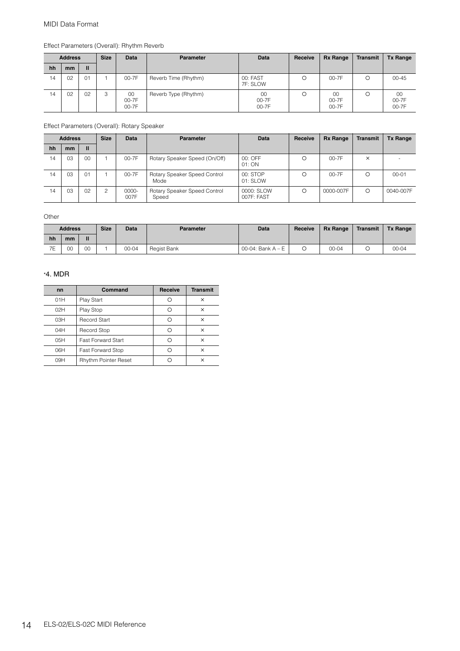|    | <b>Address</b> |              | <b>Size</b> | <b>Data</b>          | Parameter            | <b>Data</b>          | Receive | <b>Rx Range</b>      | <b>Transmit</b> | <b>Tx Range</b>      |
|----|----------------|--------------|-------------|----------------------|----------------------|----------------------|---------|----------------------|-----------------|----------------------|
| hh | mm             | $\mathbf{u}$ |             |                      |                      |                      |         |                      |                 |                      |
| 14 | 02             | 01           |             | 00-7F                | Reverb Time (Rhythm) | 00: FAST<br>7F: SLOW | Ω       | $00-7F$              | Ω               | $00 - 45$            |
| 14 | 02             | 02           | 3           | 00<br>00-7F<br>00-7F | Reverb Type (Rhythm) | 00<br>00-7F<br>00-7F | Ω       | 00<br>00-7F<br>00-7F |                 | 00<br>00-7F<br>00-7F |

Effect Parameters (Overall): Rhythm Reverb

Effect Parameters (Overall): Rotary Speaker

|    | <b>Address</b> |                | <b>Size</b>   | Data          | <b>Parameter</b>                      | <b>Data</b>              | Receive | <b>Rx Range</b> | Transmit | <b>Tx Range</b> |
|----|----------------|----------------|---------------|---------------|---------------------------------------|--------------------------|---------|-----------------|----------|-----------------|
| hh | <sub>mm</sub>  | $\mathbf{u}$   |               |               |                                       |                          |         |                 |          |                 |
| 14 | 03             | 0 <sup>0</sup> |               | $00-7F$       | Rotary Speaker Speed (On/Off)         | 00: OFF<br>01: ON        | Ω       | $00-7F$         | $\times$ |                 |
| 14 | 03             | 01             |               | 00-7F         | Rotary Speaker Speed Control<br>Mode  | 00: STOP<br>01: SLOW     | Ω       | $00-7F$         | Ω        | $00 - 01$       |
| 14 | 03             | 02             | $\mathcal{P}$ | 0000-<br>007F | Rotary Speaker Speed Control<br>Speed | 0000: SLOW<br>007F: FAST | Ω       | 0000-007F       | Ω        | 0040-007F       |

**Other** 

|                      | <b>Address</b> |    | <b>Size</b> | Data  | <b>Parameter</b> | <b>Data</b>         | Receive | <b>Rx Range</b> | Transmit | <b>Tx Range</b> |
|----------------------|----------------|----|-------------|-------|------------------|---------------------|---------|-----------------|----------|-----------------|
| hh                   | mm             | Ш  |             |       |                  |                     |         |                 |          |                 |
| 7 <sup>5</sup><br>╶╺ | 00             | 00 |             | 00-04 | Regist Bank      | 00-04: Bank $A - E$ |         | $00 - 04$       |          | $00 - 04$       |

#### \*4. MDR

| nn              | Command                     | <b>Receive</b> | <b>Transmit</b> |
|-----------------|-----------------------------|----------------|-----------------|
| 01H             | Play Start                  |                | ×               |
| O <sub>2H</sub> | Play Stop                   |                | ×               |
| 03H             | Record Start                |                | ×               |
| 04H             | Record Stop                 |                | ×               |
| 05H             | <b>Fast Forward Start</b>   |                | ×               |
| 06H             | <b>Fast Forward Stop</b>    |                | ×               |
| 09H             | <b>Rhythm Pointer Reset</b> |                | ×               |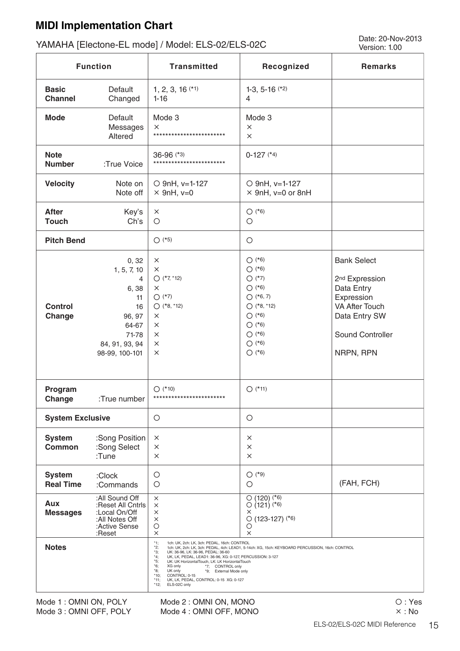### <span id="page-14-0"></span>**MIDI Implementation Chart**

# Date: 20-Nov-2013 YAMAHA [Electone-EL mode] / Model: ELS-02/ELS-02C Version: 1.00

|                                                             | <b>Function</b>                                                                                                          | <b>Transmitted</b>                                                                                                                                                                                                                                                                                                                                                                                                                   | Recognized                                                                                                                            | <b>Remarks</b>                                                                                                                                   |
|-------------------------------------------------------------|--------------------------------------------------------------------------------------------------------------------------|--------------------------------------------------------------------------------------------------------------------------------------------------------------------------------------------------------------------------------------------------------------------------------------------------------------------------------------------------------------------------------------------------------------------------------------|---------------------------------------------------------------------------------------------------------------------------------------|--------------------------------------------------------------------------------------------------------------------------------------------------|
| <b>Basic</b><br><b>Channel</b>                              | Default<br>Changed                                                                                                       | $1, 2, 3, 16$ (*1)<br>$1 - 16$                                                                                                                                                                                                                                                                                                                                                                                                       | 1-3, 5-16 $(*2)$<br>$\overline{4}$                                                                                                    |                                                                                                                                                  |
| <b>Mode</b>                                                 | Default<br>Messages<br>Altered                                                                                           | Mode 3<br>$\times$<br>************************                                                                                                                                                                                                                                                                                                                                                                                       | Mode 3<br>$\times$<br>$\times$                                                                                                        |                                                                                                                                                  |
| <b>Note</b><br><b>Number</b>                                | :True Voice                                                                                                              | 36-96 (*3)<br>************************                                                                                                                                                                                                                                                                                                                                                                                               | $0-127$ (*4)                                                                                                                          |                                                                                                                                                  |
| <b>Velocity</b>                                             | Note on<br>Note off                                                                                                      | O 9nH, v=1-127<br>$\times$ 9nH, v=0                                                                                                                                                                                                                                                                                                                                                                                                  | O 9nH, v=1-127<br>$\times$ 9nH, v=0 or 8nH                                                                                            |                                                                                                                                                  |
| <b>After</b><br><b>Touch</b>                                | Key's<br>Ch's                                                                                                            | $\times$<br>$\circ$                                                                                                                                                                                                                                                                                                                                                                                                                  | $O$ (*6)<br>$\bigcirc$                                                                                                                |                                                                                                                                                  |
| <b>Pitch Bend</b>                                           |                                                                                                                          | $O$ (*5)                                                                                                                                                                                                                                                                                                                                                                                                                             | $\bigcirc$                                                                                                                            |                                                                                                                                                  |
| <b>Control</b><br>Change                                    | 0, 32<br>1, 5, 7, 10<br>4<br>6,38<br>11<br>16<br>96, 97<br>64-67<br>71-78<br>84, 91, 93, 94<br>98-99, 100-101            | $\times$<br>$\times$<br>$O$ (*7, *12)<br>X<br>$O$ (*7)<br>$O$ (*8, *12)<br>×<br>×<br>×<br>×<br>$\times$                                                                                                                                                                                                                                                                                                                              | $O$ (*6)<br>$O$ (*6)<br>$O$ (*7)<br>$O$ (*6)<br>$O(*6, 7)$<br>$O$ (*8, *12)<br>$O$ (*6)<br>$O$ (*6)<br>$O(*6)$<br>$O(*6)$<br>$O$ (*6) | <b>Bank Select</b><br>2 <sup>nd</sup> Expression<br>Data Entry<br>Expression<br>VA After Touch<br>Data Entry SW<br>Sound Controller<br>NRPN, RPN |
| Program<br>Change                                           | :True number                                                                                                             | $O$ (*10)<br>************************                                                                                                                                                                                                                                                                                                                                                                                                | $O$ (*11)                                                                                                                             |                                                                                                                                                  |
| <b>System Exclusive</b>                                     |                                                                                                                          | O                                                                                                                                                                                                                                                                                                                                                                                                                                    | $\circ$                                                                                                                               |                                                                                                                                                  |
| <b>System</b><br><b>Common</b>                              | :Song Position<br>:Song Select<br>:Tune                                                                                  | $\times$<br>$\times$<br>$\times$                                                                                                                                                                                                                                                                                                                                                                                                     | ×<br>$\times$<br>X                                                                                                                    |                                                                                                                                                  |
| <b>System</b><br><b>Real Time</b><br>Aux<br><b>Messages</b> | :Clock<br>:Commands<br>:All Sound Off<br>:Reset All Cntrls<br>:Local On/Off<br>:All Notes Off<br>:Active Sense<br>:Reset | $\circ$<br>О<br>X<br>$\times$<br>$\times$<br>$\times$<br>$\bigcirc$<br>$\times$                                                                                                                                                                                                                                                                                                                                                      | $O$ (*9)<br>О<br>$O(120)$ (*6)<br>$O(121)$ <sup>(*6)</sup><br>X<br>$O(123-127)$ <sup>(*6)</sup><br>O<br>×                             | (FAH, FCH)                                                                                                                                       |
| <b>Notes</b>                                                |                                                                                                                          | $*1;$<br>1ch: UK, 2ch: LK, 3ch: PEDAL, 16ch: CONTROL<br>$*2;$<br>*3;<br>UK: 36-96, LK: 36-96, PEDAL: 36-60<br>$*4;$<br>UK, LK, PEDAL, LEAD1: 36-96, XG: 0-127, PERCUSSION: 3-127<br>*5;<br>UK: UK HorizontalTouch, LK: LK HorizontalTouch<br>*6;<br>XG only<br>*7; CONTROL only<br>$*8;$<br>UK only<br>*9; External Mode only<br>CONTROL: 0-15<br>$*10;$<br>UK, LK, PEDAL, CONTROL: 0-15 XG: 0-127<br>*11;<br>$*12;$<br>ELS-02C only | 1ch: UK, 2ch: LK, 3ch: PEDAL, 4ch: LEAD1, 5-14ch: XG, 15ch: KEYBOARD PERCUSSION, 16ch: CONTROL                                        |                                                                                                                                                  |

Mode 1 : OMNI ON, POLY Mode 3 : OMNI OFF, POLY Mode 2 : OMNI ON, MONO Mode 4 : OMNI OFF, MONO O: Yes : No